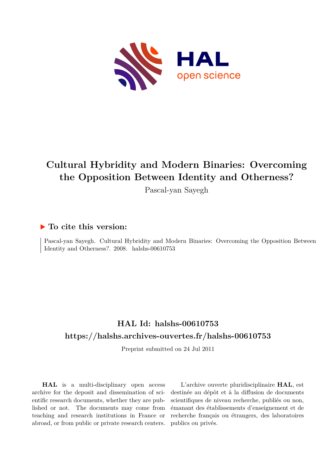

# **Cultural Hybridity and Modern Binaries: Overcoming the Opposition Between Identity and Otherness?**

Pascal-yan Sayegh

#### **To cite this version:**

Pascal-yan Sayegh. Cultural Hybridity and Modern Binaries: Overcoming the Opposition Between Identity and Otherness?.  $2008.$  halshs-00610753

#### **HAL Id: halshs-00610753 <https://halshs.archives-ouvertes.fr/halshs-00610753>**

Preprint submitted on 24 Jul 2011

**HAL** is a multi-disciplinary open access archive for the deposit and dissemination of scientific research documents, whether they are published or not. The documents may come from teaching and research institutions in France or abroad, or from public or private research centers.

L'archive ouverte pluridisciplinaire **HAL**, est destinée au dépôt et à la diffusion de documents scientifiques de niveau recherche, publiés ou non, émanant des établissements d'enseignement et de recherche français ou étrangers, des laboratoires publics ou privés.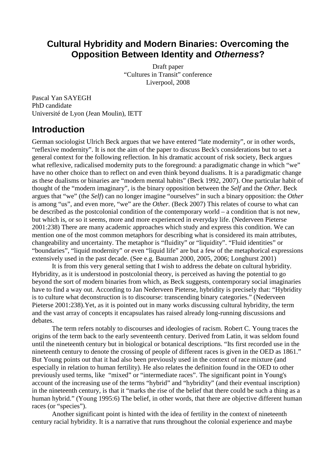#### **Cultural Hybridity and Modern Binaries: Overcoming the Opposition Between Identity and Otherness?**

Draft paper "Cultures in Transit" conference Liverpool, 2008

Pascal Yan SAYEGH PhD candidate Université de Lyon (Jean Moulin), IETT

#### **Introduction**

German sociologist Ulrich Beck argues that we have entered "late modernity", or in other words, "reflexive modernity". It is not the aim of the paper to discuss Beck's considerations but to set a general context for the following reflection. In his dramatic account of risk society, Beck argues what reflexive, radicalised modernity puts to the foreground: a paradigmatic change in which "we" have no other choice than to reflect on and even think beyond dualisms. It is a paradigmatic change as these dualisms or binaries are "modern mental habits" (Beck 1992, 2007). One particular habit of thought of the "modern imaginary", is the binary opposition between the *Self* and the *Other*. Beck argues that "we" (the *Self*) can no longer imagine "ourselves" in such a binary opposition: the *Other* is among "us", and even more, "we" are the *Other.* (Beck 2007) This relates of course to what can be described as the postcolonial condition of the contemporary world – a condition that is not new, but which is, or so it seems, more and more experienced in everyday life. (Nederveen Pieterse 2001:238) There are many academic approaches which study and express this condition. We can mention one of the most common metaphors for describing what is considered its main attributes, changeability and uncertainty. The metaphor is "fluidity" or "liquidity". "Fluid identities" or "boundaries", "liquid modernity" or even "liquid life" are but a few of the metaphorical expressions extensively used in the past decade. (See e.g. Bauman 2000, 2005, 2006; Longhurst 2001)

 It is from this very general setting that I wish to address the debate on cultural hybridity. Hybridity, as it is understood in postcolonial theory, is perceived as having the potential to go beyond the sort of modern binaries from which, as Beck suggests, contemporary social imaginaries have to find a way out. According to Jan Nederveen Pieterse, hybridity is precisely that: "Hybridity is to culture what deconstruction is to discourse: transcending binary categories." (Nederveen Pieterse 2001:238).Yet, as it is pointed out in many works discussing cultural hybridity, the term and the vast array of concepts it encapsulates has raised already long-running discussions and debates.

 The term refers notably to discourses and ideologies of racism. Robert C. Young traces the origins of the term back to the early seventeenth century. Derived from Latin, it was seldom found until the nineteenth century but in biological or botanical descriptions. "Its first recorded use in the nineteenth century to denote the crossing of people of different races is given in the OED as 1861." But Young points out that it had also been previously used in the context of race mixture (and especially in relation to human fertility). He also relates the definition found in the OED to other previously used terms, like "mixed" or "intermediate races". The significant point in Young's account of the increasing use of the terms "hybrid" and "hybridity" (and their eventual inscription) in the nineteenth century, is that it "marks the rise of the belief that there could be such a thing as a human hybrid." (Young 1995:6) The belief, in other words, that there are objective different human races (or "species").

 Another significant point is hinted with the idea of fertility in the context of nineteenth century racial hybridity. It is a narrative that runs throughout the colonial experience and maybe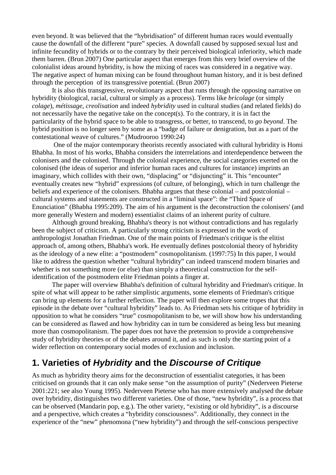even beyond. It was believed that the "hybridisation" of different human races would eventually cause the downfall of the different "pure" species. A downfall caused by supposed sexual lust and infinite fecundity of hybrids or to the contrary by their perceived biological inferiority, which made them barren. (Brun 2007) One particular aspect that emerges from this very brief overview of the colonialist ideas around hybridity, is how the mixing of races was considered in a negative way. The negative aspect of human mixing can be found throughout human history, and it is best defined through the perception of its transgressive potential. (Brun 2007)

 It is also this transgressive, revolutionary aspect that runs through the opposing narrative on hybridity (biological, racial, cultural or simply as a process). Terms like *bricolage* (or simply *colage*), *métissage*, *creolisation* and indeed *hybridity* used in cultural studies (and related fields) do not necessarily have the negative take on the concept(s). To the contrary, it is in fact the particularity of the hybrid space to be able to transgress, or better, to transcend, to *go beyond*. The hybrid position is no longer seen by some as a "badge of failure or denigration, but as a part of the contestational weave of cultures." (Mudrooroo 1990:24)

 One of the major contemporary theorists recently associated with cultural hybridity is Homi Bhabha. In most of his works, Bhabha considers the interrelations and interdependence between the colonisers and the colonised. Through the colonial experience, the social categories exerted on the colonised (the ideas of superior and inferior human races and cultures for instance) imprints an imaginary, which collides with their own, "displacing" or "disjuncting" it. This "encounter" eventually creates new "hybrid" expressions (of culture, of belonging), which in turn challenge the beliefs and experience of the colonisers. Bhabha argues that these colonial – and postcolonial – cultural systems and statements are constructed in a "liminal space": the "Third Space of Enunciation" (Bhabha 1995:209). The aim of his argument is the deconstruction the colonisers' (and more generally Western and modern) essentialist claims of an inherent purity of culture.

 Although ground breaking, Bhabha's theory is not without contradictions and has regularly been the subject of criticism. A particularly strong criticism is expressed in the work of anthropologist Jonathan Friedman. One of the main points of Friedman's critique is the elitist approach of, among others, Bhabha's work. He eventually defines postcolonial theory of hybridity as the ideology of a new elite: a "postmodern" cosmopolitanism. (1997:75) In this paper, I would like to address the question whether "cultural hybridity" can indeed transcend modern binaries and whether is not something more (or else) than simply a theoretical construction for the selfidentification of the postmodern elite Friedman points a finger at.

 The paper will overview Bhabha's definition of cultural hybridity and Friedman's critique. In spite of what will appear to be rather simplistic arguments, some elements of Friedman's critique can bring up elements for a further reflection. The paper will then explore some tropes that this episode in the debate over "cultural hybridity" leads to. As Friedman sets his critique of hybridity in opposition to what he considers "true" cosmopolitanism to be, we will show how his understanding can be considered as flawed and how hybridity can in turn be considered as being less but meaning more than cosmopolitanism. The paper does not have the pretension to provide a comprehensive study of hybridity theories or of the debates around it, and as such is only the starting point of a wider reflection on contemporary social modes of exclusion and inclusion.

## **1. Varieties of Hybridity and the Discourse of Critique**

As much as hybridity theory aims for the deconstruction of essentialist categories, it has been criticised on grounds that it can only make sense "on the assumption of purity" (Nederveen Pieterse 2001:221; see also Young 1995). Nederveen Pieterse who has more extensively analysed the debate over hybridity, distinguishes two different varieties. One of those, "new hybridity", is a process that can be observed (Mandarin pop, e.g.). The other variety, "existing or old hybridity", is a discourse and a perspective, which creates a "hybridity consciousness". Additionally, they connect in the experience of the "new" phenomona ("new hybridity") and through the self-conscious perspective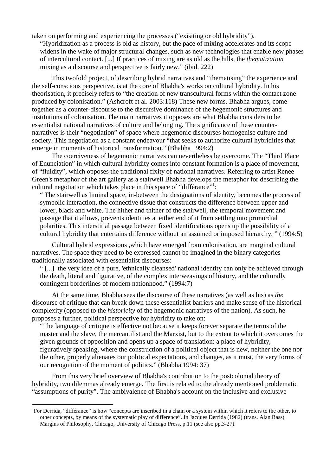taken on performing and experiencing the processes ("exisiting or old hybridity").

"Hybridization as a process is old as history, but the pace of mixing accelerates and its scope widens in the wake of major structural changes, such as new technologies that enable new phases of intercultural contact. [...] If practices of mixing are as old as the hills, the *thematization*  mixing as a discourse and perspective is fairly new." (ibid. 222)

 This twofold project, of describing hybrid narratives and "thematising" the experience and the self-conscious perspective, is at the core of Bhabha's works on cultural hybridity. In his theorisation, it precisely refers to "the creation of new transcultural forms within the contact zone produced by colonisation." (Ashcroft et al. 2003:118) These new forms, Bhabha argues, come together as a counter-discourse to the discursive dominance of the hegemonic structures and institutions of colonisation. The main narratives it opposes are what Bhabha considers to be essentialist national narratives of culture and belonging. The significance of these counternarratives is their "negotiation" of space where hegemonic discourses homogenise culture and society. This negotiation as a constant endeavour "that seeks to authorize cultural hybridities that emerge in moments of historical transformation." (Bhabha 1994:2)

 The coerciveness of hegemonic narratives can nevertheless be overcome. The "Third Place of Enunciation" in which cultural hybridity comes into constant formation is a place of movement, of "fluidity", which opposes the traditional fixity of national narratives. Referring to artist Renee Green's metaphor of the art gallery as a stairwell Bhabha develops the metaphor for describing the cultural negotiation which takes place in this space of "differance"<sup>1</sup>:

" The stairwell as liminal space, in-between the designations of identity, becomes the process of symbolic interaction, the connective tissue that constructs the difference between upper and lower, black and white. The hither and thither of the stairwell, the temporal movement and passage that it allows, prevents identities at either end of it from settling into primordial polarities. This interstitial passage between fixed identifications opens up the possibility of a cultural hybridity that entertains difference without an assumed or imposed hierarchy. " (1994:5)

 Cultural hybrid expressions ,which have emerged from colonisation, are marginal cultural narratives. The space they need to be expressed cannot be imagined in the binary categories traditionally associated with essentialist discourses:

" [...] the very idea of a pure, 'ethnically cleansed' national identity can only be achieved through the death, literal and figurative, of the complex interweavings of history, and the culturally contingent borderlines of modern nationhood." (1994:7)

 At the same time, Bhabha sees the discourse of these narratives (as well as his) as *the* discourse of critique that can break down these essentialist barriers and make sense of the historical complexity (opposed to the *historicity* of the hegemonic narratives of the nation). As such, he proposes a further, political perspective for hybridity to take on:

"The language of critique is effective not because it keeps forever separate the terms of the master and the slave, the mercantilist and the Marxist, but to the extent to which it overcomes the given grounds of opposition and opens up a space of translation: a place of hybridity, figuratively speaking, where the construction of a political object that is new, neither the one nor the other, properly alienates our political expectations, and changes, as it must, the very forms of our recognition of the moment of politics." (Bhabha 1994: 37)

 From this very brief overview of Bhabha's contribution to the postcolonial theory of hybridity, two dilemmas already emerge. The first is related to the already mentioned problematic "assumptions of purity". The ambivalence of Bhabha's account on the inclusive and exclusive

l

<sup>&</sup>lt;sup>1</sup>For Derrida, "différance" is how "concepts are inscribed in a chain or a system within which it refers to the other, to other concepts, by means of the systematic play of difference". In Jacques Derrida (1982) (trans. Alan Bass), Margins of Philosophy, Chicago, University of Chicago Press, p.11 (see also pp.3-27).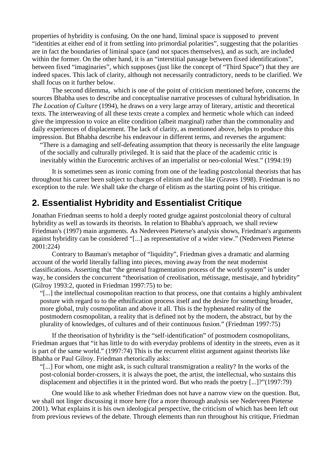properties of hybridity is confusing. On the one hand, liminal space is supposed to prevent "identities at either end of it from settling into primordial polarities", suggesting that the polarities are in fact the boundaries of liminal space (and not spaces themselves), and as such, are included within the former. On the other hand, it is an "interstitial passage between fixed identifications", between fixed "imaginaries", which supposes (just like the concept of "Third Space") that they are indeed spaces. This lack of clarity, although not necessarily contradictory, needs to be clarified. We shall focus on it further below.

 The second dilemma, which is one of the point of criticism mentioned before, concerns the sources Bhabha uses to describe and conceptualise narrative processes of cultural hybridisation. In *The Location of Culture* (1994), he draws on a very large array of literary, artistic and theoretical texts. The interweaving of all these texts create a complex and hermetic whole which can indeed give the impression to voice an elite condition (albeit marginal) rather than the commonality and daily experiences of displacement. The lack of clarity, as mentioned above, helps to produce this impression. But Bhabha describe his endeavour in different terms, and reverses the argument:

"There is a damaging and self-defeating assumption that theory is necessarily the elite language of the socially and culturally privileged. It is said that the place of the academic critic is inevitably within the Eurocentric archives of an imperialist or neo-colonial West." (1994:19)

 It is sometimes seen as ironic coming from one of the leading postcolonial theorists that has throughout his career been subject to charges of elitism and the like (Graves 1998). Friedman is no exception to the rule. We shall take the charge of elitism as the starting point of his critique.

#### **2. Essentialist Hybridity and Essentialist Critique**

Jonathan Friedman seems to hold a deeply rooted grudge against postcolonial theory of cultural hybridity as well as towards its theorists. In relation to Bhabha's approach, we shall review Friedman's (1997) main arguments. As Nederveen Pieterse's analysis shows, Friedman's arguments against hybridity can be considered "[...] as representative of a wider view." (Nederveen Pieterse 2001:224)

 Contrary to Bauman's metaphor of "liquidity", Friedman gives a dramatic and alarming account of the world literally falling into pieces, moving away from the neat modernist classifications. Asserting that "the general fragmentation process of the world system" is under way, he considers the concurrent "theorisation of creolisation, métissage, mestisaje, and hybridity" (Gilroy 1993:2, quoted in Friedman 1997:75) to be:

"[...] the intellectual cosmopolitan reaction to that process, one that contains a highly ambivalent posture with regard to to the ethnification process itself and the desire for something broader, more global, truly cosmopolitan and above it all. This is the hyphenated reality of the postmodern cosmopolitan, a reality that is defined not by the modern, the abstract, but by the plurality of knowledges, of cultures and of their continuous fusion." (Friedman 1997:75)

 If the theorisation of hybridity is the "self-identification" of postmodern cosmopolitans, Friedman argues that "it has little to do with everyday problems of identity in the streets, even as it is part of the same world." (1997:74) This is the recurrent elitist argument against theorists like Bhabha or Paul Gilroy. Friedman rhetorically asks:

"[...] For whom, one might ask, is such cultural transmigration a reality? In the works of the post-colonial border-crossers, it is always the poet, the artist, the intellectual, who sustains this displacement and objectifies it in the printed word. But who reads the poetry [...]?"(1997:79)

 One would like to ask whether Friedman does not have a narrow view on the question. But, we shall not linger discussing it more here (for a more thorough analysis see Nederveen Pieterse 2001). What explains it is his own ideological perspective, the criticism of which has been left out from previous reviews of the debate. Through elements than run throughout his critique, Friedman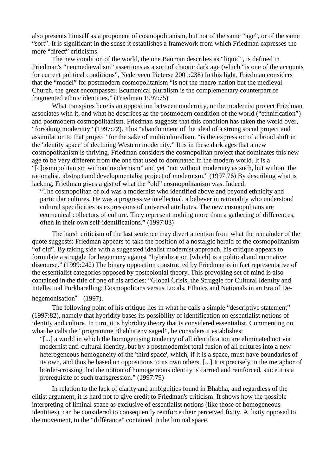also presents himself as a proponent of cosmopolitanism, but not of the same "age", or of the same "sort". It is significant in the sense it establishes a framework from which Friedman expresses the more "direct" criticisms.

 The new condition of the world, the one Bauman describes as "liquid", is defined in Friedman's "neomedievalism" assertions as a sort of chaotic dark age (which "is one of the accounts for current political conditions", Nederveen Pieterse 2001:238) In this light, Friedman considers that the "model" for postmodern cosmopolitanism "is not the macro-nation but the medieval Church, the great encompasser. Ecumenical pluralism is the complementary counterpart of fragmented ethnic identities." (Friedman 1997:75)

 What transpires here is an opposition between modernity, or the modernist project Friedman associates with it, and what he describes as the postmodern condition of the world ("ethnification") and postmodern cosmopolitanism. Friedman suggests that this condition has taken the world over, "forsaking modernity" (1997:72). This "abandonment of the ideal of a strong social project and assimilation to that project" for the sake of multiculturalism, "is the expression of a broad shift in the 'identity space' of declining Western modernity." It is in these dark ages that a new cosmopolitanism is thriving. Friedman considers the cosmopolitan project that dominates this new age to be very different from the one that used to dominated in the modern world. It is a "[c]osmopolitanism without modernism" and yet "not without modernity as such, but without the rationalist, abstract and developmentalist project of modernism." (1997:76) By describing what is lacking, Friedman gives a gist of what the "old" cosmopolitanism was. Indeed:

"The cosmopolitan of old was a modernist who identified above and beyond ethnicity and particular cultures. He was a progressive intellectual, a believer in rationality who understood cultural specificities as expressions of universal attributes. The new cosmopolitans are ecumenical collectors of culture. They represent nothing more than a gathering of differences, often in their own self-identifications." (1997:83)

 The harsh criticism of the last sentence may divert attention from what the remainder of the quote suggests: Friedman appears to take the position of a nostalgic herald of the cosmopolitanism "of old". By taking side with a suggested idealist modernist approach, his critique appears to formulate a struggle for hegemony against "hybridization [which] is a political and normative discourse." (1999:242) The binary opposition constructed by Friedman is in fact representative of the essentialist categories opposed by postcolonial theory. This provoking set of mind is also contained in the title of one of his articles: "Global Crisis, the Struggle for Cultural Identity and Intellectual Porkbarelling: Cosmopolitans versus Locals, Ethnics and Nationals in an Era of De-

#### hegemonisation" (1997).

 The following point of his critique lies in what he calls a simple "descriptive statement" (1997:82), namely that hybridity bases its possibility of identification on essentialist notions of identity and culture. In turn, it is hybridity theory that is considered essentialist. Commenting on what he calls the "programme Bhabha envisaged", he considers it establishes:

"[...] a world in which the homogenising tendency of all identification are eliminated not via modernist anti-cultural identity, but by a postmodernist total fusion of all cultures into a new heterogeneous homogeneity of the 'third space', which, if it is a space, must have boundaries of its own, and thus be based on oppositions to its own others. [...] It is precisely in the metaphor of border-crossing that the notion of homogeneous identity is carried and reinforced, since it is a prerequisite of such transgression." (1997:79)

 In relation to the lack of clarity and ambiguities found in Bhabha, and regardless of the elitist argument, it is hard not to give credit to Friedman's criticism. It shows how the possible interpreting of liminal space as exclusive of essentialist notions (like those of homogeneous identities), can be considered to consequently reinforce their perceived fixity. A fixity opposed to the movement, to the "différance" contained in the liminal space.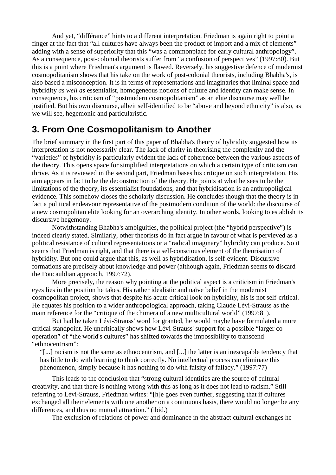And yet, "différance" hints to a different interpretation. Friedman is again right to point a finger at the fact that "all cultures have always been the product of import and a mix of elements" adding with a sense of superiority that this "was a commonplace for early cultural anthropology". As a consequence, post-colonial theorists suffer from "a confusion of perspectives" (1997:80). But this is a point where Friedman's argument is flawed. Reversely, his suggestive defence of modernist cosmopolitanism shows that his take on the work of post-colonial theorists, including Bhabha's, is also based a misconception. It is in terms of representations and imaginaries that liminal space and hybridity *as well as* essentialist, homogeneous notions of culture and identity can make sense. In consequence, his criticism of "postmodern cosmopolitanism" as an elite discourse may well be justified. But his own discourse, albeit self-identified to be "above and beyond ethnicity" is also, as we will see, hegemonic and particularistic.

#### **3. From One Cosmopolitanism to Another**

The brief summary in the first part of this paper of Bhabha's theory of hybridity suggested how its interpretation is not necessarily clear. The lack of clarity in theorising the complexity and the "varieties" of hybridity is particularly evident the lack of coherence between the various aspects of the theory. This opens space for simplified interpretations on which a certain type of criticism can thrive. As it is reviewed in the second part, Friedman bases his critique on such interpretation. His aim appears in fact to be the deconstruction of the theory. He points at what he sees to be the limitations of the theory, its essentialist foundations, and that hybridisation is an anthropoligical evidence. This somehow closes the scholarly discussion. He concludes though that the theory is in fact a political endeavour representative of the postmodern condition of the world: the discourse of a new cosmopolitan elite looking for an overarching identity. In other words, looking to establish its discursive hegemony.

 Notwithstanding Bhabha's ambiguities, the political project (the "hybrid perspective") is indeed clearly stated. Similarly, other theorists do in fact argue in favour of what is pervieved as a political resistance of cultural representations or a "radical imaginary" hybridity can produce. So it seems that Friedman is right, and that there is a self-conscious element of the theorisation of hybridity. But one could argue that this, as well as hybridisation, is self-evident. Discursive formations are precisely about knowledge and power (although again, Friedman seems to discard the Foucauldian approach, 1997:72).

 More precisely, the reason why pointing at the political aspect is a criticism in Friedman's eyes lies in the position he takes. His rather idealistic and naïve belief in the modernist cosmopolitan project, shows that despite his acute critical look on hybridity, his is not self-critical. He equates his position to a wider anthropological approach, taking Claude Lévi-Strauss as the main reference for the "critique of the chimera of a new multicultural world" (1997:81).

 But had he taken Lévi-Strauss' word for granted, he would maybe have formulated a more critical standpoint. He uncritically shows how Lévi-Strauss' support for a possible "larger cooperation" of "the world's cultures" has shifted towards the impossibility to transcend "ethnocentrism":

"[...] racism is not the same as ethnocentrism, and [...] the latter is an inescapable tendency that has little to do with learning to think correctly. No intellectual process can eliminate this phenomenon, simply because it has nothing to do with falsity of fallacy." (1997:77)

 This leads to the conclusion that "strong cultural identities are the source of cultural creativity, and that there is nothing wrong with this as long as it does not lead to racism." Still referring to Lévi-Strauss, Friedman writes: "[h]e goes even further, suggesting that if cultures exchanged all their elements with one another on a continuous basis, there would no longer be any differences, and thus no mutual attraction." (ibid.)

The exclusion of relations of power and dominance in the abstract cultural exchanges he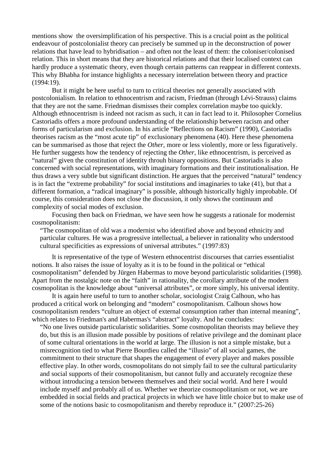mentions show the oversimplification of his perspective. This is a crucial point as the political endeavour of postcolonialist theory can precisely be summed up in the deconstruction of power relations that have lead to hybridisation – and often not the least of them: the coloniser/colonised relation. This in short means that they are historical relations and that their localised context can hardly produce a systematic theory, even though certain patterns can reappear in different contexts. This why Bhabha for instance highlights a necessary interrelation between theory and practice (1994:19).

 But it might be here useful to turn to critical theories not generally associated with postcolonialism. In relation to ethnocentrism and racism, Friedman (through Lévi-Strauss) claims that they are not the same. Friedman dismisses their complex correlation maybe too quickly. Although ethnocentrism is indeed not racism as such, it can in fact lead to it. Philosopher Cornelius Castoriadis offers a more profound understanding of the relationship between racism and other forms of particularism and exclusion. In his article "Reflections on Racism" (1990), Castoriadis theorises racism as the "most acute tip" of exclusionary phenomena (40). Here these phenomena can be summarised as those that reject the *Other*, more or less violently, more or less figuratively. He further suggests how the tendency of rejecting the *Other*, like ethnocentrism, is perceived as "natural" given the constitution of identity throuh binary oppositions. But Castoriadis is also concerned with social representations, with imaginary formations and their institutionalisation. He thus draws a very subtle but significant distinction. He argues that the perceived "natural" tendency is in fact the "extreme probability" for social institutions and imaginaries to take (41), but that a different formation, a "radical imaginary" is possible, although historically highly improbable. Of course, this consideration does not close the discussion, it only shows the continuum and complexity of social modes of exclusion.

 Focusing then back on Friedman, we have seen how he suggests a rationale for modernist cosmopolitanism:

"The cosmopolitan of old was a modernist who identified above and beyond ethnicity and particular cultures. He was a progressive intellectual, a believer in rationality who understood cultural specificities as expressions of universal attributes." (1997:83)

 It is representative of the type of Western ethnocentrist discourses that carries essentialist notions. It also raises the issue of loyalty as it is to be found in the political or "ethical cosmopolitanism" defended by Jürgen Habermas to move beyond particularistic solidarities (1998). Apart from the nostalgic note on the "faith" in rationality, the corollary attribute of the modern cosmopolitan is the knowledge about "universal attributes", or more simply, his universal identity.

 It is again here useful to turn to another scholar, sociologist Craig Calhoun, who has produced a critical work on belonging and "modern" cosmopolitanism. Calhoun shows how cosmopolitanism renders "culture an object of external consumption rather than internal meaning", which relates to Friedman's and Habermas's "abstract" loyalty. And he concludes:

"No one lives outside particularistic solidarities. Some cosmopolitan theorists may believe they do, but this is an illusion made possible by positions of relative privilege and the dominant place of some cultural orientations in the world at large. The illusion is not a simple mistake, but a misrecognition tied to what Pierre Bourdieu called the "illusio" of all social games, the commitment to their structure that shapes the engagement of every player and makes possible effective play. In other words, cosmopolitans do not simply fail to see the cultural particularity and social supports of their cosmopolitanism, but cannot fully and accurately recognize these without introducing a tension between themselves and their social world. And here I would include myself and probably all of us. Whether we theorize cosmopolitanism or not, we are embedded in social fields and practical projects in which we have little choice but to make use of some of the notions basic to cosmopolitanism and thereby reproduce it." (2007:25-26)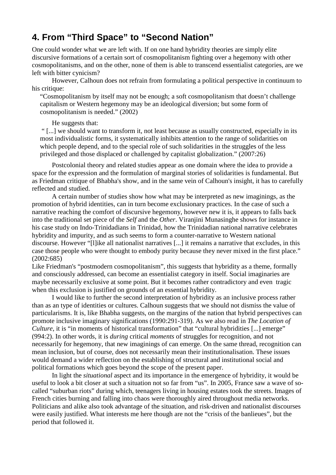## **4. From "Third Space" to "Second Nation"**

One could wonder what we are left with. If on one hand hybridity theories are simply elite discursive formations of a certain sort of cosmopolitanism fighting over a hegemony with other cosmopolitanisms, and on the other, none of them is able to transcend essentialist categories, are we left with bitter cynicism?

 However, Calhoun does not refrain from formulating a political perspective in continuum to his critique:

"Cosmopolitanism by itself may not be enough; a soft cosmopolitanism that doesn't challenge capitalism or Western hegemony may be an ideological diversion; but some form of cosmopolitanism is needed." (2002)

He suggests that:

 " [...] we should want to transform it, not least because as usually constructed, especially in its most individualistic forms, it systematically inhibits attention to the range of solidarities on which people depend, and to the special role of such solidarities in the struggles of the less privileged and those displaced or challenged by capitalist globalization." (2007:26)

 Postcolonial theory and related studies appear as one domain where the idea to provide a space for the expression and the formulation of marginal stories of solidarities is fundamental. But as Friedman critique of Bhabha's show, and in the same vein of Calhoun's insight, it has to carefully reflected and studied.

 A certain number of studies show how what may be interpreted as new imaginings, as the promotion of hybrid identities, can in turn become exclusionary practices. In the case of such a narrative reaching the comfort of discursive hegemony, however new it is, it appears to falls back into the traditional set piece of the *Self* and the *Other*. Viranjini Munasinghe shows for instance in his case study on Indo-Trinidadians in Trinidad, how the Trinidadian national narrative celebrates hybridity and impurity, and as such seems to form a counter-narrative to Western national discourse. However "[l]ike all nationalist narratives [...] it remains a narrative that excludes, in this case those people who were thought to embody purity because they never mixed in the first place." (2002:685)

Like Friedman's "postmodern cosmopolitanism", this suggests that hybridity as a theme, formally and consciously addressed, can become an essentialist category in itself. Social imaginaries are maybe necessarily exclusive at some point. But it becomes rather contradictory and even tragic when this exclusion is justified on grounds of an essential hybridity.

 I would like to further the second interpretation of hybridity as an inclusive process rather than as an type of identities or cultures. Calhoun suggests that we should not dismiss the value of particularisms. It is, like Bhabha suggests, on the margins of the nation that hybrid perspectives can promote inclusive imaginary significations (1990:291-319). As we also read in *The Location of Culture*, it is "in moments of historical transformation" that "cultural hybridities [...] emerge" (994:2). In other words, it is *during* critical *moments* of struggles for recognition, and not necessarily for hegemony, that new imaginings of can emerge. On the same thread, recognition can mean inclusion, but of course, does not necessarily mean their institutionalisation. These issues would demand a wider reflection on the establishing of structural and institutional social and political formations which goes beyond the scope of the present paper.

 In light the *situational* aspect and its importance in the emergence of hybridity, it would be useful to look a bit closer at such a situation not so far from "us". In 2005, France saw a wave of socalled "suburban riots" during which, teenagers living in housing estates took the streets. Images of French cities burning and falling into chaos were thoroughly aired throughout media networks. Politicians and alike also took advantage of the situation, and risk-driven and nationalist discourses were easily justified. What interests me here though are not the "crisis of the banlieues", but the period that followed it.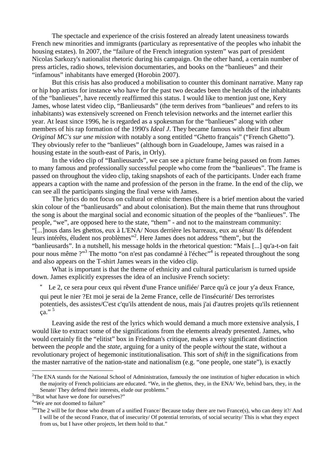The spectacle and experience of the crisis fostered an already latent uneasiness towards French new minorities and immigrants (particulary as representative of the peoples who inhabit the housing estates). In 2007, the "failure of the French integration system" was part of president Nicolas Sarkozy's nationalist rhetoric during his campaign. On the other hand, a certain number of press articles, radio shows, television documentaries, and books on the "banlieues" and their "infamous" inhabitants have emerged (Horobin 2007).

 But this crisis has also produced a mobilisation to counter this dominant narrative. Many rap or hip hop artists for instance who have for the past two decades been the heralds of the inhabitants of the "banlieues", have recently reaffirmed this status. I would like to mention just one, Kery James, whose latest video clip, "Banlieusards" (the term derives from "banlieues" and refers to its inhabitants) was extensively screened on French television networks and the internet earlier this year. At least since 1996, he is regarded as a spokesman for the "banlieues" along with other members of his rap formation of the 1990's *Ideal J*. They became famous with their first album *Original MC's sur une mission* with notably a song entitled "Ghetto français" ("French Ghetto"). They obviously refer to the "banlieues" (although born in Guadeloupe, James was raised in a housing estate in the south-east of Paris, in Orly).

 In the video clip of "Banlieusards", we can see a picture frame being passed on from James to many famous and professionally successful people who come from the "banlieues". The frame is passed on throughout the video clip, taking snapshots of each of the participants. Under each frame appears a caption with the name and profession of the person in the frame. In the end of the clip, we can see all the participants singing the final verse with James.

 The lyrics do not focus on cultural or ethnic themes (there is a brief mention about the varied skin colour of the "banlieusards" and about colonisation). But the main theme that runs throughout the song is about the marginal social and economic situation of the peoples of the "banlieues". The people, "we", are opposed here to the state, "them" - and not to the mainstream community: "[...]nous dans les ghettos, eux à L'ENA/ Nous derrière les barreaux, eux au sénat/ Ils défendent leurs intérêts, éludent nos problèmes"<sup>2</sup> . Here James does not address "them", but the "banlieusards". In a nutshell, his message holds in the rhetorical question: "Mais [...] qu'a-t-on fait pour nous même ?"<sup>3</sup> The motto "on n'est pas condamné à l'échec"<sup>4</sup> is repeated throughout the song and also appears on the T-shirt James wears in the video clip.

 What is important is that the theme of ethnicity and cultural particularism is turned upside down. James explicitly expresses the idea of an inclusive French society:

" Le 2, ce sera pour ceux qui rêvent d'une France unifiée/ Parce qu'à ce jour y'a deux France,

qui peut le nier ?Et moi je serai de la 2eme France, celle de l'insécurité/ Des terroristes potentiels, des assistes/C'est c'qu'ils attendent de nous, mais j'ai d'autres projets qu'ils retiennent  $\epsilon$ a." 5

 Leaving aside the rest of the lyrics which would demand a much more extensive analysis, I would like to extract some of the significations from the elements already presented. James, who would certainly fit the "elitist" box in Friedman's critique, makes a very significant distinction between the *people* and the *state*, arguing for a unity of the people *without* the state, without a revolutionary project of hegemonic institutionalisation. This sort of *shift* in the significations from the master narrative of the nation-state and nationalism (e.g. "one people, one state"), is exactly

 $\overline{a}$ 

 $2$ The ENA stands for the National School of Administration, famously the one institution of higher education in which the majority of French politicians are educated. "We, in the ghettos, they, in the ENA/ We, behind bars, they, in the Senate/ They defend their interests, elude our problems."

<sup>&</sup>lt;sup>3</sup>"But what have we done for ourselves?"

<sup>&</sup>lt;sup>4"</sup>We are not doomed to failure"

<sup>&</sup>lt;sup>54</sup>The 2 will be for those who dream of a unified France/ Because today there are two France(s), who can deny it?/ And I will be of the second France, that of insecurity/ Of potential terrorists, of social security/ This is what they expect from us, but I have other projects, let them hold to that."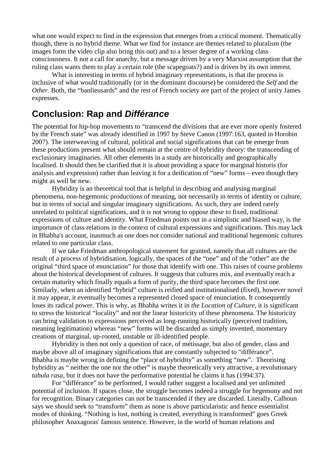what one would expect to find in the expression that emerges from a critical moment. Thematically though, there is no hybrid theme. What we find for instance are themes related to pluralism (the images form the video clip also bring this out) and to a lesser degree of a working class consciousness. It not a call for anarchy, but a message driven by a very Marxist assumption that the ruling class wants them to play a certain role (the scapegoats?) and is driven by its own interest.

 What is interesting in terms of hybrid imaginary representations, is that the process is inclusive of what would traditionally (or in the dominant discourse) be considered the *Self* and the *Other*. Both, the "banlieusards" and the rest of French society are part of the project of unity James expresses.

#### **Conclusion: Rap and Différance**

The potential for hip-hop movements to "transcend the divisions that are ever more openly fostered by the French state" was already identified in 1997 by Steve Canon (1997:163, quoted in Horobin 2007). The interweaving of cultural, political and social significations that can be emerge from these productions present what should remain at the centre of hybridity theory: the transcending of exclusionary imaginaries. All other elements in a study are historically and geographically localised. It should then be clarified that it is about providing a space for marginal historis (for analysis and expression) rather than leaving it for a deification of "new" forms – even though they might as well be new.

 Hybridity is an theoretical tool that is helpful in describing and analysing marginal phenomena, non-hegemonic productions of meaning, not necessarily in terms of identity or culture, but in terms of social and singular imaginary significations. As such, they are indeed rarely unrelated to political significations, and it is not wrong to oppose these to fixed, traditional expressions of culture and identity. What Friedman points out in a simplistic and biased way, is the importance of class relations in the context of cultural expressions and significations. This may lack in Bhabha's account, inasmuch as one does not consider national and traditional hegemonic cultures related to one particular class.

 If we take Friedman anthropological statement for granted, namely that all cultures are the result of a process of hybridisation, logically, the spaces of the "one" and of the "other" are the original "third space of enunciation" for those that identify with one. This raises of course problems about the historical development of cultures. It suggests that cultures mix, and eventually reach a certain maturity which finally equals a form of purity, the third space becomes the first one. Similarly, when an identified "hybrid" culture is reified and institutionalised (fixed), however novel it may appear, it eventually becomes a represented closed space of enunciation. It consequently loses its radical power. This is why, as Bhabha writes it in *the Location of Culture,* it is significant to stress the historical "locality" and not the linear historicity of these phenomena. The historicity can bring validation to expressions perceived as long-running historically (perceived tradition, meaning legitimation) whereas "new" forms will be discarded as simply invented, momentary creations of marginal, up-rooted, unstable or ill-identified people.

 Hybridity is then not only a question of race, of métissage, but also of gender, class and maybe above all of imaginary significations that are constantly subjected to "différance". Bhabha is maybe wrong in defining the "place of hybridity" as something "new". Theorising hybridity as " neither the one nor the other" is maybe theoretically very attractive, a revolutionary *tabula rasa*, but it does not have the performative potential he claims it has (1994:37).

 For "différance" to be performed, I would rather suggest a localised and yet unlimited potential of inclusion. If spaces close, the struggle becomes indeed a struggle for hegemony and not for recognition. Binary categories can not be transcended if they are discarded. Literally, Calhoun says we should seek to "transform" them as none is above particularistic and hence essentialist modes of thinking. "Nothing is lost, nothing is created, everything is transformed" goes Greek philosopher Anaxagoras' famous sentence. However, in the world of human relations and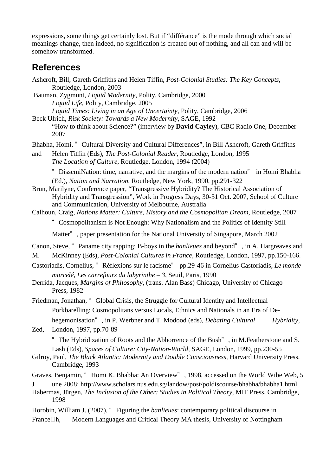expressions, some things get certainly lost. But if "différance" is the mode through which social meanings change, then indeed, no signification is created out of nothing, and all can and will be somehow transformed.

#### **References**

- Ashcroft, Bill, Gareth Griffiths and Helen Tiffin, *Post-Colonial Studies: The Key Concepts,*  Routledge, London, 2003
- Bauman, Zygmunt, *Liquid Modernity*, Polity, Cambridge, 2000 *Liquid Life*, Polity, Cambridge, 2005 *Liquid Times: Living in an Age of Uncertainty*, Polity, Cambridge, 2006
- Beck Ulrich, *Risk Society: Towards a New Modernity*, SAGE, 1992 "How to think about Science?" (interview by **David Cayley**), CBC Radio One, December 2007

Bhabha, Homi, " Cultural Diversity and Cultural Differences", in Bill Ashcroft, Gareth Griffiths

and Helen Tiffin (Eds), *The Post-Colonial Reader,* Routledge, London, 1995 *The Location of Culture*, Routledge, London, 1994 (2004)

" DissemiNation: time, narrative, and the margins of the modern nation" in Homi Bhabha (Ed.), *Nation and Narration*, Routledge, New York, 1990, pp.291-322

- Brun, Marilyne, Conference paper, "Transgressive Hybridity? The Historical Association of Hybridity and Transgression", Work in Progress Days, 30-31 Oct. 2007, School of Culture and Communication, University of Melbourne, Australia
- Calhoun, Craig, *Nations Matter: Culture, History and the Cosmopolitan Dream*, Routledge, 2007

" Cosmopolitanism is Not Enough: Why Nationalism and the Politics of Identity Still

Matter" , paper presentation for the National University of Singapore, March 2002

Canon, Steve, " Paname city rapping: B-boys in the *banlieues* and beyond" , in A. Hargreaves and

- M. McKinney (Eds), *Post-Colonial Cultures in France*, Routledge, London, 1997, pp.150-166.
- Castoriadis, Cornelius, " Réflexions sur le racisme" pp.29-46 in Cornelius Castoriadis, *Le monde morcelé, Les carrefours du labyrinthe – 3*, Seuil, Paris, 1990
- Derrida, Jacques, *Margins of Philosophy*, (trans. Alan Bass) Chicago, University of Chicago Press, 1982

Friedman, Jonathan, " Global Crisis, the Struggle for Cultural Identity and Intellectual Porkbarelling: Cosmopolitans versus Locals, Ethnics and Nationals in an Era of De hegemonisation", in P. Werbner and T. Modood (eds), *Debating Cultural Hybridity*,

Zed, London, 1997, pp.70-89 " The Hybridization of Roots and the Abhorrence of the Bush" , in M.Featherstone and S.

Lash (Eds), *Spaces of Culture: City-Nation-World*, SAGE, London, 1999, pp.230-55

- Gilroy, Paul, *The Black Atlantic: Modernity and Double Consciousness*, Harvard University Press, Cambridge, 1993
- Graves, Benjamin, " Homi K. Bhabha: An Overview" , 1998, accessed on the World Wibe Web, 5

J une 2008: http://www.scholars.nus.edu.sg/landow/post/poldiscourse/bhabha/bhabha1.html

- Habermas, Jürgen, *The Inclusion of the Other: Studies in Political Theory*, MIT Press, Cambridge, 1998
- Horobin, William J. (2007), " Figuring the *banlieues*: contemporary political discourse in

France h, Modern Languages and Critical Theory MA thesis, University of Nottingham